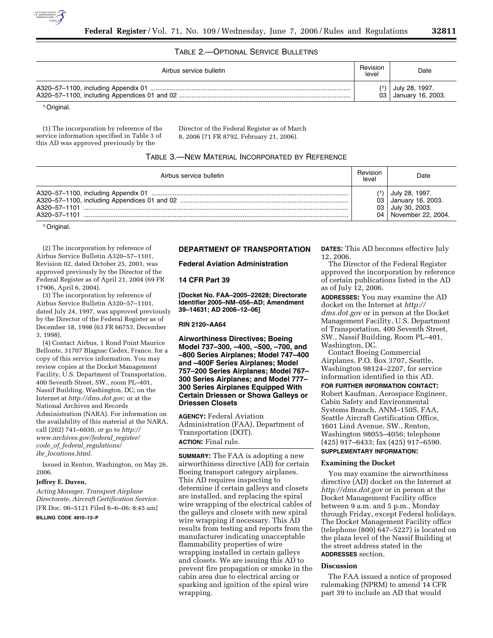

# TABLE 2.—OPTIONAL SERVICE BULLETINS

| Airbus service bulletin | Revision<br>level | Date                                                  |
|-------------------------|-------------------|-------------------------------------------------------|
|                         |                   | $\binom{1}{1}$ July 28, 1997.<br>03 January 16, 2003. |
| .                       |                   |                                                       |

1Original.

(1) The incorporation by reference of the service information specified in Table 3 of this AD was approved previously by the

Director of the Federal Register as of March 8, 2006 (71 FR 8792, February 21, 2006).

## TABLE 3.—NEW MATERIAL INCORPORATED BY REFERENCE

| Airbus service bulletin | level | Date                                                                                |
|-------------------------|-------|-------------------------------------------------------------------------------------|
|                         | 03    | July 28, 1997.<br>03 January 16, 2003.<br>July 30, 2003.<br>04   November 22, 2004. |

1Original.

(2) The incorporation by reference of Airbus Service Bulletin A320–57–1101, Revision 02, dated October 25, 2001, was approved previously by the Director of the Federal Register as of April 21, 2004 (69 FR 17906, April 6, 2004).

(3) The incorporation by reference of Airbus Service Bulletin A320–57–1101, dated July 24, 1997, was approved previously by the Director of the Federal Register as of December 18, 1998 (63 FR 66753, December 3, 1998).

(4) Contact Airbus, 1 Rond Point Maurice Bellonte, 31707 Blagnac Cedex, France, for a copy of this service information. You may review copies at the Docket Management Facility, U.S. Department of Transportation, 400 Seventh Street, SW., room PL–401, Nassif Building, Washington, DC; on the Internet at *http://dms.dot.gov*; or at the National Archives and Records Administration (NARA). For information on the availability of this material at the NARA, call (202) 741–6030, or go to *http:// www.archives.gov/federal*\_*register/ code*\_*of*\_*federal*\_*regulations/ ibr*\_*locations.html.* 

Issued in Renton, Washington, on May 26, 2006.

#### **Jeffrey E. Duven,**

*Acting Manager, Transport Airplane Directorate, Aircraft Certification Service.*  [FR Doc. 06–5121 Filed 6–6–06; 8:45 am]

# **BILLING CODE 4910–13–P**

# **DEPARTMENT OF TRANSPORTATION**

## **Federal Aviation Administration**

#### **14 CFR Part 39**

**[Docket No. FAA–2005–22628; Directorate Identifier 2005–NM–056–AD; Amendment 39–14631; AD 2006–12–06]** 

#### **RIN 2120–AA64**

**Airworthiness Directives; Boeing Model 737–300, –400, –500, –700, and –800 Series Airplanes; Model 747–400 and –400F Series Airplanes; Model 757–200 Series Airplanes; Model 767– 300 Series Airplanes; and Model 777– 300 Series Airplanes Equipped With Certain Driessen or Showa Galleys or Driessen Closets** 

**AGENCY:** Federal Aviation Administration (FAA), Department of Transportation (DOT). **ACTION:** Final rule.

**SUMMARY:** The FAA is adopting a new airworthiness directive (AD) for certain Boeing transport category airplanes. This AD requires inspecting to determine if certain galleys and closets are installed, and replacing the spiral wire wrapping of the electrical cables of the galleys and closets with new spiral wire wrapping if necessary. This AD results from testing and reports from the manufacturer indicating unacceptable flammability properties of wire wrapping installed in certain galleys and closets. We are issuing this AD to prevent fire propagation or smoke in the cabin area due to electrical arcing or sparking and ignition of the spiral wire wrapping.

**DATES:** This AD becomes effective July 12, 2006.

The Director of the Federal Register approved the incorporation by reference of certain publications listed in the AD as of July 12, 2006.

**ADDRESSES:** You may examine the AD docket on the Internet at *http:// dms.dot.gov* or in person at the Docket Management Facility, U.S. Department of Transportation, 400 Seventh Street, SW., Nassif Building, Room PL–401, Washington, DC.

Contact Boeing Commercial Airplanes, P.O. Box 3707, Seattle, Washington 98124–2207, for service information identified in this AD.

### **FOR FURTHER INFORMATION CONTACT:**

Robert Kaufman, Aerospace Engineer, Cabin Safety and Environmental Systems Branch, ANM–150S, FAA, Seattle Aircraft Certification Office, 1601 Lind Avenue, SW., Renton, Washington 98055–4056; telephone (425) 917–6433; fax (425) 917–6590. **SUPPLEMENTARY INFORMATION:** 

# **Examining the Docket**

You may examine the airworthiness directive (AD) docket on the Internet at *http://dms.dot.gov* or in person at the Docket Management Facility office between 9 a.m. and 5 p.m., Monday through Friday, except Federal holidays. The Docket Management Facility office (telephone (800) 647–5227) is located on the plaza level of the Nassif Building at the street address stated in the **ADDRESSES** section.

# **Discussion**

The FAA issued a notice of proposed rulemaking (NPRM) to amend 14 CFR part 39 to include an AD that would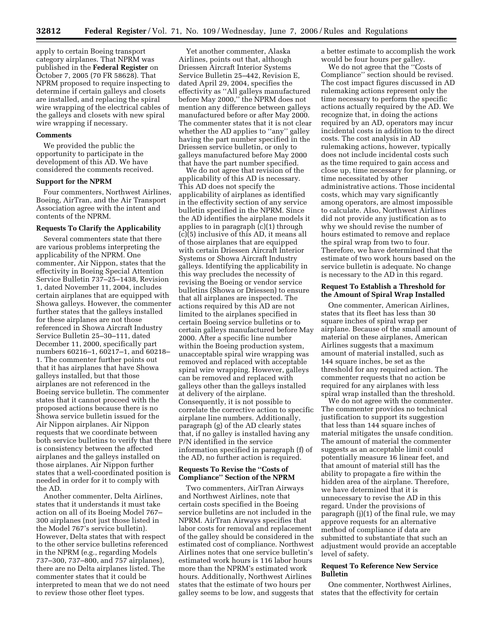apply to certain Boeing transport category airplanes. That NPRM was published in the **Federal Register** on October 7, 2005 (70 FR 58628). That NPRM proposed to require inspecting to determine if certain galleys and closets are installed, and replacing the spiral wire wrapping of the electrical cables of the galleys and closets with new spiral wire wrapping if necessary.

#### **Comments**

We provided the public the opportunity to participate in the development of this AD. We have considered the comments received.

### **Support for the NPRM**

Four commenters, Northwest Airlines, Boeing, AirTran, and the Air Transport Association agree with the intent and contents of the NPRM.

#### **Requests To Clarify the Applicability**

Several commenters state that there are various problems interpreting the applicability of the NPRM. One commenter, Air Nippon, states that the effectivity in Boeing Special Attention Service Bulletin 737–25–1438, Revision 1, dated November 11, 2004, includes certain airplanes that are equipped with Showa galleys. However, the commenter further states that the galleys installed for these airplanes are not those referenced in Showa Aircraft Industry Service Bulletin 25–30–111, dated December 11, 2000, specifically part numbers 60216–1, 60217–1, and 60218– 1. The commenter further points out that it has airplanes that have Showa galleys installed, but that those airplanes are not referenced in the Boeing service bulletin. The commenter states that it cannot proceed with the proposed actions because there is no Showa service bulletin issued for the Air Nippon airplanes. Air Nippon requests that we coordinate between both service bulletins to verify that there is consistency between the affected airplanes and the galleys installed on those airplanes. Air Nippon further states that a well-coordinated position is needed in order for it to comply with the AD.

Another commenter, Delta Airlines, states that it understands it must take action on all of its Boeing Model 767– 300 airplanes (not just those listed in the Model 767's service bulletin). However, Delta states that with respect to the other service bulletins referenced in the NPRM (e.g., regarding Models 737–300, 737–800, and 757 airplanes), there are no Delta airplanes listed. The commenter states that it could be interpreted to mean that we do not need to review those other fleet types.

Yet another commenter, Alaska Airlines, points out that, although Driessen Aircraft Interior Systems Service Bulletin 25–442, Revision E, dated April 29, 2004, specifies the effectivity as ''All galleys manufactured before May 2000,'' the NPRM does not mention any difference between galleys manufactured before or after May 2000. The commenter states that it is not clear whether the AD applies to "any" galley having the part number specified in the Driessen service bulletin, or only to galleys manufactured before May 2000 that have the part number specified.

We do not agree that revision of the applicability of this AD is necessary. This AD does not specify the applicability of airplanes as identified in the effectivity section of any service bulletin specified in the NPRM. Since the AD identifies the airplane models it applies to in paragraph (c)(1) through  $(c)(5)$  inclusive of this AD, it means all of those airplanes that are equipped with certain Driessen Aircraft Interior Systems or Showa Aircraft Industry galleys. Identifying the applicability in this way precludes the necessity of revising the Boeing or vendor service bulletins (Showa or Driessen) to ensure that all airplanes are inspected. The actions required by this AD are not limited to the airplanes specified in certain Boeing service bulletins or to certain galleys manufactured before May 2000. After a specific line number within the Boeing production system, unacceptable spiral wire wrapping was removed and replaced with acceptable spiral wire wrapping. However, galleys can be removed and replaced with galleys other than the galleys installed at delivery of the airplane. Consequently, it is not possible to correlate the corrective action to specific airplane line numbers. Additionally, paragraph (g) of the AD clearly states that, if no galley is installed having any P/N identified in the service information specified in paragraph (f) of the AD, no further action is required.

# **Requests To Revise the ''Costs of Compliance'' Section of the NPRM**

Two commenters, AirTran Airways and Northwest Airlines, note that certain costs specified in the Boeing service bulletins are not included in the NPRM. AirTran Airways specifies that labor costs for removal and replacement of the galley should be considered in the estimated cost of compliance. Northwest Airlines notes that one service bulletin's estimated work hours is 116 labor hours more than the NPRM's estimated work hours. Additionally, Northwest Airlines states that the estimate of two hours per galley seems to be low, and suggests that

a better estimate to accomplish the work would be four hours per galley.

We do not agree that the ''Costs of Compliance'' section should be revised. The cost impact figures discussed in AD rulemaking actions represent only the time necessary to perform the specific actions actually required by the AD. We recognize that, in doing the actions required by an AD, operators may incur incidental costs in addition to the direct costs. The cost analysis in AD rulemaking actions, however, typically does not include incidental costs such as the time required to gain access and close up, time necessary for planning, or time necessitated by other administrative actions. Those incidental costs, which may vary significantly among operators, are almost impossible to calculate. Also, Northwest Airlines did not provide any justification as to why we should revise the number of hours estimated to remove and replace the spiral wrap from two to four. Therefore, we have determined that the estimate of two work hours based on the service bulletin is adequate. No change is necessary to the AD in this regard.

# **Request To Establish a Threshold for the Amount of Spiral Wrap Installed**

One commenter, American Airlines, states that its fleet has less than 30 square inches of spiral wrap per airplane. Because of the small amount of material on these airplanes, American Airlines suggests that a maximum amount of material installed, such as 144 square inches, be set as the threshold for any required action. The commenter requests that no action be required for any airplanes with less spiral wrap installed than the threshold.

We do not agree with the commenter. The commenter provides no technical justification to support its suggestion that less than 144 square inches of material mitigates the unsafe condition. The amount of material the commenter suggests as an acceptable limit could potentially measure 16 linear feet, and that amount of material still has the ability to propagate a fire within the hidden area of the airplane. Therefore, we have determined that it is unnecessary to revise the AD in this regard. Under the provisions of paragraph (j)(1) of the final rule, we may approve requests for an alternative method of compliance if data are submitted to substantiate that such an adjustment would provide an acceptable level of safety.

# **Request To Reference New Service Bulletin**

One commenter, Northwest Airlines, states that the effectivity for certain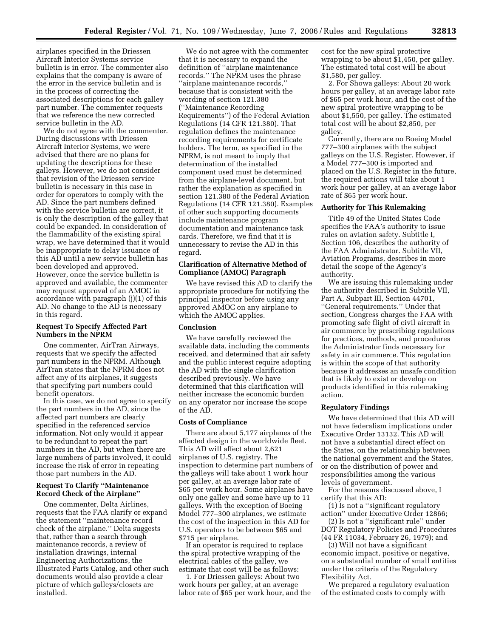airplanes specified in the Driessen Aircraft Interior Systems service bulletin is in error. The commenter also explains that the company is aware of the error in the service bulletin and is in the process of correcting the associated descriptions for each galley part number. The commenter requests that we reference the new corrected service bulletin in the AD.

We do not agree with the commenter. During discussions with Driessen Aircraft Interior Systems, we were advised that there are no plans for updating the descriptions for these galleys. However, we do not consider that revision of the Driessen service bulletin is necessary in this case in order for operators to comply with the AD. Since the part numbers defined with the service bulletin are correct, it is only the description of the galley that could be expanded. In consideration of the flammability of the existing spiral wrap, we have determined that it would be inappropriate to delay issuance of this AD until a new service bulletin has been developed and approved. However, once the service bulletin is approved and available, the commenter may request approval of an AMOC in accordance with paragraph (j)(1) of this AD. No change to the AD is necessary in this regard.

## **Request To Specify Affected Part Numbers in the NPRM**

One commenter, AirTran Airways, requests that we specify the affected part numbers in the NPRM. Although AirTran states that the NPRM does not affect any of its airplanes, it suggests that specifying part numbers could benefit operators.

In this case, we do not agree to specify the part numbers in the AD, since the affected part numbers are clearly specified in the referenced service information. Not only would it appear to be redundant to repeat the part numbers in the AD, but when there are large numbers of parts involved, it could increase the risk of error in repeating those part numbers in the AD.

## **Request To Clarify ''Maintenance Record Check of the Airplane''**

One commenter, Delta Airlines, requests that the FAA clarify or expand the statement ''maintenance record check of the airplane.'' Delta suggests that, rather than a search through maintenance records, a review of installation drawings, internal Engineering Authorizations, the Illustrated Parts Catalog, and other such documents would also provide a clear picture of which galleys/closets are installed.

We do not agree with the commenter that it is necessary to expand the definition of ''airplane maintenance records.'' The NPRM uses the phrase ''airplane maintenance records,'' because that is consistent with the wording of section 121.380 (''Maintenance Recording Requirements'') of the Federal Aviation Regulations (14 CFR 121.380). That regulation defines the maintenance recording requirements for certificate holders. The term, as specified in the NPRM, is not meant to imply that determination of the installed component used must be determined from the airplane-level document, but rather the explanation as specified in section 121.380 of the Federal Aviation Regulations (14 CFR 121.380). Examples of other such supporting documents include maintenance program documentation and maintenance task cards. Therefore, we find that it is unnecessary to revise the AD in this regard.

# **Clarification of Alternative Method of Compliance (AMOC) Paragraph**

We have revised this AD to clarify the appropriate procedure for notifying the principal inspector before using any approved AMOC on any airplane to which the AMOC applies.

# **Conclusion**

We have carefully reviewed the available data, including the comments received, and determined that air safety and the public interest require adopting the AD with the single clarification described previously. We have determined that this clarification will neither increase the economic burden on any operator nor increase the scope of the AD.

#### **Costs of Compliance**

There are about 5,177 airplanes of the affected design in the worldwide fleet. This AD will affect about 2,621 airplanes of U.S. registry. The inspection to determine part numbers of the galleys will take about 1 work hour per galley, at an average labor rate of \$65 per work hour. Some airplanes have only one galley and some have up to 11 galleys. With the exception of Boeing Model 777–300 airplanes, we estimate the cost of the inspection in this AD for U.S. operators to be between \$65 and \$715 per airplane.

If an operator is required to replace the spiral protective wrapping of the electrical cables of the galley, we estimate that cost will be as follows:

1. For Driessen galleys: About two work hours per galley, at an average labor rate of \$65 per work hour, and the cost for the new spiral protective wrapping to be about \$1,450, per galley. The estimated total cost will be about \$1,580, per galley.

2. For Showa galleys: About 20 work hours per galley, at an average labor rate of \$65 per work hour, and the cost of the new spiral protective wrapping to be about \$1,550, per galley. The estimated total cost will be about \$2,850, per galley.

Currently, there are no Boeing Model 777–300 airplanes with the subject galleys on the U.S. Register. However, if a Model 777–300 is imported and placed on the U.S. Register in the future, the required actions will take about 1 work hour per galley, at an average labor rate of \$65 per work hour.

### **Authority for This Rulemaking**

Title 49 of the United States Code specifies the FAA's authority to issue rules on aviation safety. Subtitle I, Section 106, describes the authority of the FAA Administrator. Subtitle VII, Aviation Programs, describes in more detail the scope of the Agency's authority.

We are issuing this rulemaking under the authority described in Subtitle VII, Part A, Subpart III, Section 44701, ''General requirements.'' Under that section, Congress charges the FAA with promoting safe flight of civil aircraft in air commerce by prescribing regulations for practices, methods, and procedures the Administrator finds necessary for safety in air commerce. This regulation is within the scope of that authority because it addresses an unsafe condition that is likely to exist or develop on products identified in this rulemaking action.

#### **Regulatory Findings**

We have determined that this AD will not have federalism implications under Executive Order 13132. This AD will not have a substantial direct effect on the States, on the relationship between the national government and the States, or on the distribution of power and responsibilities among the various levels of government.

For the reasons discussed above, I certify that this AD:

(1) Is not a ''significant regulatory action'' under Executive Order 12866;

(2) Is not a ''significant rule'' under DOT Regulatory Policies and Procedures (44 FR 11034, February 26, 1979); and

(3) Will not have a significant economic impact, positive or negative, on a substantial number of small entities under the criteria of the Regulatory Flexibility Act.

We prepared a regulatory evaluation of the estimated costs to comply with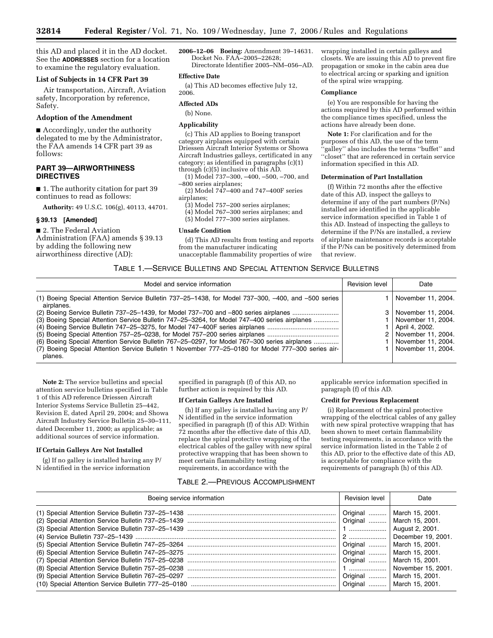this AD and placed it in the AD docket. See the **ADDRESSES** section for a location to examine the regulatory evaluation.

## **List of Subjects in 14 CFR Part 39**

Air transportation, Aircraft, Aviation safety, Incorporation by reference, Safety.

### **Adoption of the Amendment**

■ Accordingly, under the authority delegated to me by the Administrator, the FAA amends 14 CFR part 39 as follows:

# **PART 39—AIRWORTHINESS DIRECTIVES**

■ 1. The authority citation for part 39 continues to read as follows:

**Authority:** 49 U.S.C. 106(g), 40113, 44701.

## **§ 39.13 [Amended]**

■ 2. The Federal Aviation Administration (FAA) amends § 39.13 by adding the following new airworthiness directive (AD):

**2006–12–06 Boeing:** Amendment 39–14631. Docket No. FAA–2005–22628; Directorate Identifier 2005–NM–056–AD.

### **Effective Date**

(a) This AD becomes effective July 12, 2006.

#### **Affected ADs**

(b) None.

#### **Applicability**

(c) This AD applies to Boeing transport category airplanes equipped with certain Driessen Aircraft Interior Systems or Showa Aircraft Industries galleys, certificated in any category; as identified in paragraphs (c)(1) through (c)(5) inclusive of this AD.

(1) Model 737–300, –400, –500, –700, and –800 series airplanes;

(2) Model 747–400 and 747–400F series airplanes;

(3) Model 757–200 series airplanes;

(4) Model 767–300 series airplanes; and

(5) Model 777–300 series airplanes.

#### **Unsafe Condition**

(d) This AD results from testing and reports from the manufacturer indicating unacceptable flammability properties of wire

wrapping installed in certain galleys and closets. We are issuing this AD to prevent fire propagation or smoke in the cabin area due to electrical arcing or sparking and ignition of the spiral wire wrapping.

#### **Compliance**

(e) You are responsible for having the actions required by this AD performed within the compliance times specified, unless the actions have already been done.

**Note 1:** For clarification and for the purposes of this AD, the use of the term 'galley'' also includes the terms "buffet" and ''closet'' that are referenced in certain service information specified in this AD.

### **Determination of Part Installation**

(f) Within 72 months after the effective date of this AD, inspect the galleys to determine if any of the part numbers (P/Ns) installed are identified in the applicable service information specified in Table 1 of this AD. Instead of inspecting the galleys to determine if the P/Ns are installed, a review of airplane maintenance records is acceptable if the P/Ns can be positively determined from that review.

## TABLE 1.—SERVICE BULLETINS AND SPECIAL ATTENTION SERVICE BULLETINS

| Model and service information                                                                                     | <b>Revision level</b> | Date                   |
|-------------------------------------------------------------------------------------------------------------------|-----------------------|------------------------|
| (1) Boeing Special Attention Service Bulletin 737–25–1438, for Model 737–300, –400, and –500 series<br>airplanes. |                       | November 11, 2004.     |
| (2) Boeing Service Bulletin 737-25-1439, for Model 737-700 and -800 series airplanes                              |                       | 3   November 11, 2004. |
| (3) Boeing Special Attention Service Bulletin 747-25-3264, for Model 747-400 series airplanes                     |                       | November 11, 2004.     |
|                                                                                                                   |                       | April 4, 2002.         |
|                                                                                                                   |                       | 2   November 11, 2004. |
| (6) Boeing Special Attention Service Bulletin 767-25-0297, for Model 767-300 series airplanes                     |                       | November 11, 2004.     |
| (7) Boeing Special Attention Service Bulletin 1 November 777-25-0180 for Model 777-300 series air-                |                       | November 11, 2004.     |
| planes.                                                                                                           |                       |                        |

**Note 2:** The service bulletins and special attention service bulletins specified in Table 1 of this AD reference Driessen Aircraft Interior Systems Service Bulletin 25–442, Revision E, dated April 29, 2004; and Showa Aircraft Industry Service Bulletin 25–30–111, dated December 11, 2000; as applicable; as additional sources of service information.

## **If Certain Galleys Are Not Installed**

(g) If no galley is installed having any P/ N identified in the service information

specified in paragraph (f) of this AD, no further action is required by this AD.

### **If Certain Galleys Are Installed**

(h) If any galley is installed having any P/ N identified in the service information specified in paragraph (f) of this AD: Within 72 months after the effective date of this AD, replace the spiral protective wrapping of the electrical cables of the galley with new spiral protective wrapping that has been shown to meet certain flammability testing requirements, in accordance with the

applicable service information specified in paragraph (f) of this AD.

# **Credit for Previous Replacement**

(i) Replacement of the spiral protective wrapping of the electrical cables of any galley with new spiral protective wrapping that has been shown to meet certain flammability testing requirements, in accordance with the service information listed in the Table 2 of this AD, prior to the effective date of this AD, is acceptable for compliance with the requirements of paragraph (h) of this AD.

## TABLE 2.—PREVIOUS ACCOMPLISHMENT

| Boeing service information | Revision level                   | Date                                                                                                                                                                                                                                             |
|----------------------------|----------------------------------|--------------------------------------------------------------------------------------------------------------------------------------------------------------------------------------------------------------------------------------------------|
|                            | Original<br>Original<br>Original | Original    March 15, 2001.<br>March 15, 2001.<br>August 2, 2001.<br>December 19, 2001.<br>Original    March 15, 2001.<br>Original    March 15, 2001.<br>March 15, 2001.<br>November 15, 2001.<br>Original    March 15, 2001.<br>March 15, 2001. |